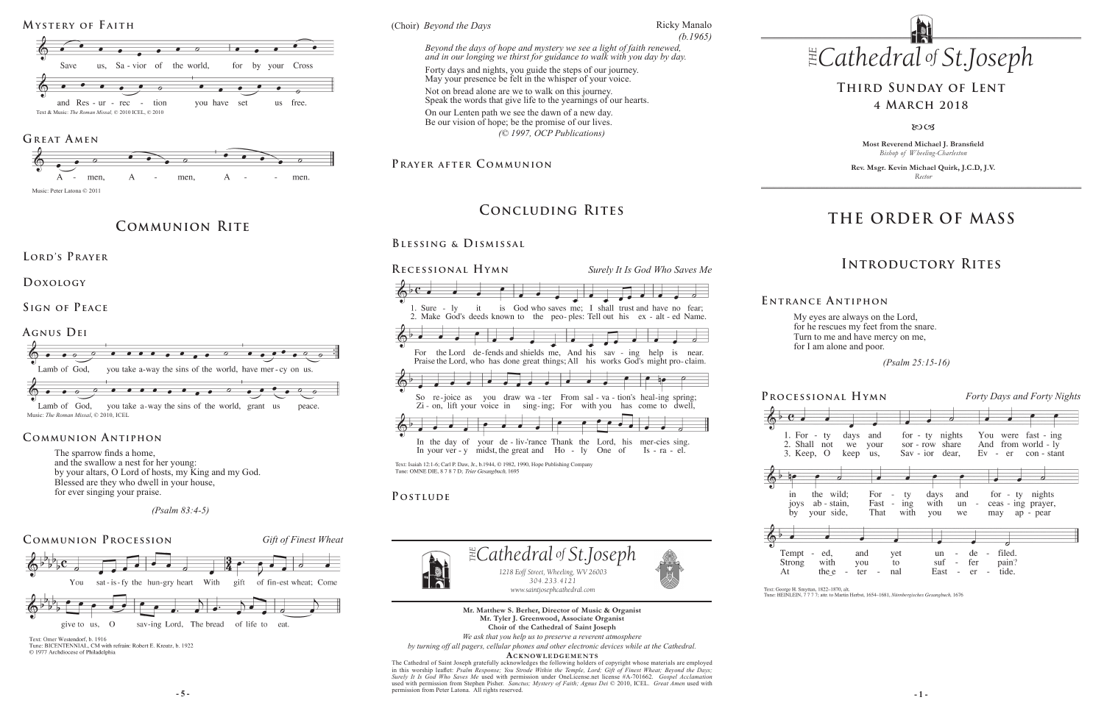**Most Reverend Michael J. Bransfield** *Bishop of Wheeling-Charleston*

**Rev. Msgr. Kevin Michael Quirk, J.C.D, J.V.** *Rector*



# **THE ORDER OF MASS**

# **Introductory Rites**

# **Third Sunday of Lent 4 March 2018**

#### $80C<sub>3</sub>$

# **Concluding Rites**











My eyes are always on the Lord, for he rescues my feet from the snare. Turn to me and have mercy on me, for I am alone and poor.

 *(Psalm 25:15-16)* 

Text: George H. Smyttan, 1822–1870, alt.<br>Tune: HEINLEIN, 7777; attr. to Martin Herbst, 1654–1681, Nürnbergisches Gesangbuch, 1676

**E ntrance A ntiphon**



**5** - **5** - **1** - **1** - **1** - **1** - **1** - **1** - **1** - **1** - **1** - **1** - **1** - **1** - **1** - **1** - **1** - **1** - **1** - **1** - **1** - **1** - **1** - **1** - **1** - **1** - **1** - **1** - **1** - **1** - **1** - **1** - **1** - **1** - **1** - **1** - **1** - The Cathedral of Saint Joseph gratefully acknowledges the following holders of copyright whose materials are employed in this worship leaflet: *Psalm Response; You Strode Within the Temple, Lord; Gift of Finest Wheat; Beyond the Days; Surely It Is God Who Saves Me* used with permission under OneLicense.net license #A-701662. *Gospel Acclamation*  used with permission from Stephen Pisher. *Sanctus; Mystery of Faith; Agnus Dei* © 2010, ICEL. *Great Amen* used with permission from Peter Latona. All rights reserved.

**Mr. Matthew S. Berher, Director of Music & Organist Mr. Tyler J. Greenwood, Associate Organist Choir of the Cathedral of Saint Joseph** *We ask that you help us to preserve a reverent atmosphere*

*by turning off all pagers, cellular phones and other electronic devices while at the Cathedral.*

#### **Acknowledgement s**



POSTLUDE

## **Blessing & Dismissal**

## **Mystery of F aith**





### **Great A men**

**Prayer after C ommunion**

Ricky Manalo *(b.1965)*

*Beyond the days of hope and mystery we see a light of faith renewed, and in our longing we thirst for guidance to walk with you day by day.*

Forty days and nights, you guide the steps of our journey. May your presence be felt in the whisper of your voice.

*(© 1997, OCP Publications)* On our Lenten path we see the dawn of a new day. Be our vision of hope; be the promise of our lives.

Not on bread alone are we to walk on this journey. Speak the words that give life to the yearnings of our hearts.

The sparrow finds a home, and the swallow a nest for her young: by your altars, O Lord of hosts, my King and my God. Blessed are they who dwell in your house, for ever singing your praise.

 *(Psalm 83:4-5)*

### **Communion Antiphon**

**Communion Rite**

**Lord's Prayer**

**Doxology** 

SIGN OF PEACE



 $the$  *Days (Choir) Beyond the Days*